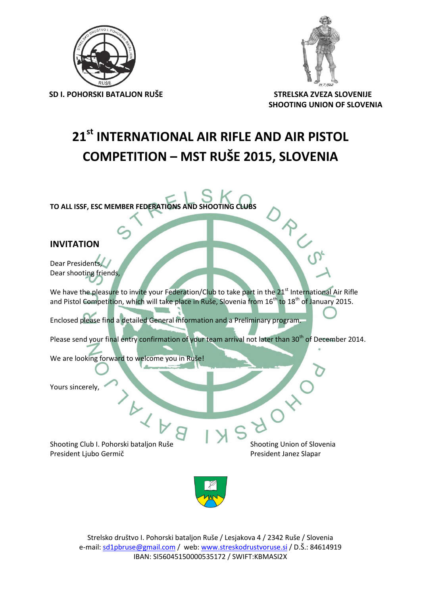

**SD I. POHORSKI BATALJON RUŠE STRELSKA ZVEZA SLOVENIJE**



 **SHOOTING UNION OF SLOVENIA**

### **21st INTERNATIONAL AIR RIFLE AND AIR PISTOL COMPETITION – MST RUŠE 2015, SLOVENIA**

**TO ALL ISSF, ESC MEMBER FEDERATIONS AND SHOOTING CLUBS**

### **INVITATION**

Dear Presidents, Dear shooting friends,

We have the pleasure to invite your Federation/Club to take part in the 21<sup>st</sup> International Air Rifle and Pistol Competition, which will take place in Ruše, Slovenia from 16<sup>th</sup> to 18<sup>th</sup> of January 2015.

Enclosed please find a detailed General information and a Preliminary program.

Please send your final entry confirmation of your team arrival not later than 30<sup>th</sup> of December 2014.

We are looking forward to welcome you in Ruše!

Yours sincerely,

Shooting Club I. Pohorski bataljon Ruše Shooting Union of Slovenia President Ljubo Germič **President Janez Slapar** President Janez Slapar

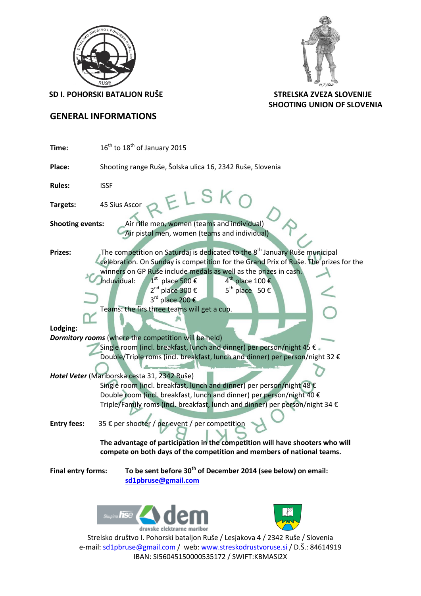



**SD I. POHORSKI BATALJON RUŠE STRELSKA ZVEZA SLOVENIJE**

 **SHOOTING UNION OF SLOVENIA**

### **GENERAL INFORMATIONS**

| $16^{\text{th}}$ to $18^{\text{th}}$ of January 2015<br>Time:                                                                                                                                                                                                                                                                                                                                                                                                                   |  |  |  |  |  |  |  |
|---------------------------------------------------------------------------------------------------------------------------------------------------------------------------------------------------------------------------------------------------------------------------------------------------------------------------------------------------------------------------------------------------------------------------------------------------------------------------------|--|--|--|--|--|--|--|
| Shooting range Ruše, Šolska ulica 16, 2342 Ruše, Slovenia                                                                                                                                                                                                                                                                                                                                                                                                                       |  |  |  |  |  |  |  |
| <b>Rules:</b><br><b>ISSF</b>                                                                                                                                                                                                                                                                                                                                                                                                                                                    |  |  |  |  |  |  |  |
| ELSKO<br>45 Sius Ascor<br>Targets:                                                                                                                                                                                                                                                                                                                                                                                                                                              |  |  |  |  |  |  |  |
| Air rifle men, women (teams and individual)<br><b>Shooting events:</b><br>Air pistol men, women (teams and individual)                                                                                                                                                                                                                                                                                                                                                          |  |  |  |  |  |  |  |
| The competition on Saturdaj is dedicated to the 8 <sup>th</sup> January Ruše municipal<br><b>Prizes:</b><br>celebration. On Sunday is competition for the Grand Prix of Ruše. The prizes for the<br>winners on GP Ruše include medals as well as the prizes in cash.<br>$4^{\text{th}}$ place 100 €<br>Induvidual:<br>$1st$ place 500 €<br>2 <sup>nd</sup> place 300 €<br>$5^{th}$ place $50 \in$<br>3 <sup>rd</sup> place 200 €<br>Teams: the firs three teams will get a cup. |  |  |  |  |  |  |  |
| Lodging:                                                                                                                                                                                                                                                                                                                                                                                                                                                                        |  |  |  |  |  |  |  |
| <b>Dormitory rooms</b> (where the competition will be held)<br>Single room (incl. breakfast, lunch and dinner) per person/night 45 €.<br>Double/Triple roms (incl. breakfast, lunch and dinner) per person/night 32 €                                                                                                                                                                                                                                                           |  |  |  |  |  |  |  |
| Hotel Veter (Mariborska cesta 31, 2342 Ruše)<br>Single room (incl. breakfast, lunch and dinner) per person/night 48 €<br>Double room (incl. breakfast, lunch and dinner) per person/night 40 €<br>Triple/Family roms (incl. breakfast, lunch and dinner) per person/night 34 €                                                                                                                                                                                                  |  |  |  |  |  |  |  |
| 35 € per shooter / per event / per competition<br><b>Entry fees:</b>                                                                                                                                                                                                                                                                                                                                                                                                            |  |  |  |  |  |  |  |
| The advantage of participation in the competition will have shooters who will<br>compete on both days of the competition and members of national teams.                                                                                                                                                                                                                                                                                                                         |  |  |  |  |  |  |  |
| To be sent before 30 <sup>th</sup> of December 2014 (see below) on email:<br><b>Final entry forms:</b><br>sd1pbruse@gmail.com                                                                                                                                                                                                                                                                                                                                                   |  |  |  |  |  |  |  |
| Skupina <b>hse</b>                                                                                                                                                                                                                                                                                                                                                                                                                                                              |  |  |  |  |  |  |  |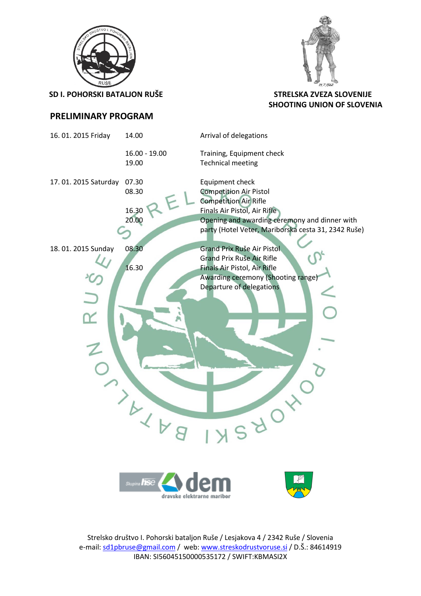

**SD I. POHORSKI BATALJON RUŠE STRELSKA ZVEZA SLOVENIJE**



# **SHOOTING UNION OF SLOVENIA**

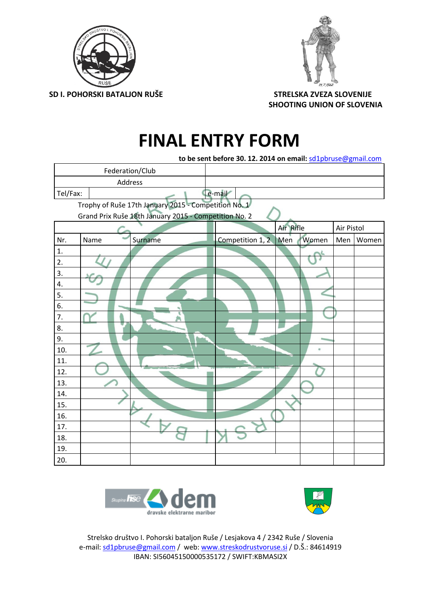



 **SD I. POHORSKI BATALJON RUŠE STRELSKA ZVEZA SLOVENIJE SHOOTING UNION OF SLOVENIA**

## **FINAL ENTRY FORM**

| to be sent before 30. 12. 2014 on email: sd1pbruse@gmail.com |        |                 |                  |           |       |            |       |  |  |  |  |
|--------------------------------------------------------------|--------|-----------------|------------------|-----------|-------|------------|-------|--|--|--|--|
|                                                              |        | Federation/Club |                  |           |       |            |       |  |  |  |  |
| Address                                                      |        |                 |                  |           |       |            |       |  |  |  |  |
| Tel/Fax:                                                     | e-mail |                 |                  |           |       |            |       |  |  |  |  |
| Trophy of Ruše 17th January 2015 - Competition No. 1         |        |                 |                  |           |       |            |       |  |  |  |  |
| Grand Prix Ruše 18th January 2015 - Competition No. 2        |        |                 |                  |           |       |            |       |  |  |  |  |
|                                                              |        |                 |                  | Air Rifle |       | Air Pistol |       |  |  |  |  |
| Nr.                                                          | Name   | Surname         | Competition 1, 2 | Men       | Women | Men        | Women |  |  |  |  |
| $\mathbf{1}$ .                                               |        |                 |                  |           |       |            |       |  |  |  |  |
| 2.                                                           |        |                 |                  |           |       |            |       |  |  |  |  |
| 3.                                                           |        |                 |                  |           |       |            |       |  |  |  |  |
| 4.                                                           |        |                 |                  |           |       |            |       |  |  |  |  |
| 5.                                                           |        |                 |                  |           |       |            |       |  |  |  |  |
| 6.                                                           |        |                 |                  |           |       |            |       |  |  |  |  |
| 7.                                                           |        |                 |                  |           |       |            |       |  |  |  |  |
| 8.                                                           |        |                 |                  |           |       |            |       |  |  |  |  |
| 9.                                                           |        |                 |                  |           |       |            |       |  |  |  |  |
| 10.                                                          |        |                 |                  |           | ü     |            |       |  |  |  |  |
| 11.                                                          |        |                 |                  |           |       |            |       |  |  |  |  |
| 12.                                                          |        |                 |                  |           |       |            |       |  |  |  |  |
| 13.                                                          |        |                 |                  |           |       |            |       |  |  |  |  |
| 14.                                                          |        |                 |                  |           |       |            |       |  |  |  |  |
| 15.                                                          |        |                 |                  |           |       |            |       |  |  |  |  |
| 16.                                                          |        |                 |                  |           |       |            |       |  |  |  |  |
| 17.                                                          |        |                 |                  |           |       |            |       |  |  |  |  |
| 18.                                                          |        |                 |                  |           |       |            |       |  |  |  |  |
| 19.                                                          |        |                 |                  |           |       |            |       |  |  |  |  |
| 20.                                                          |        |                 |                  |           |       |            |       |  |  |  |  |